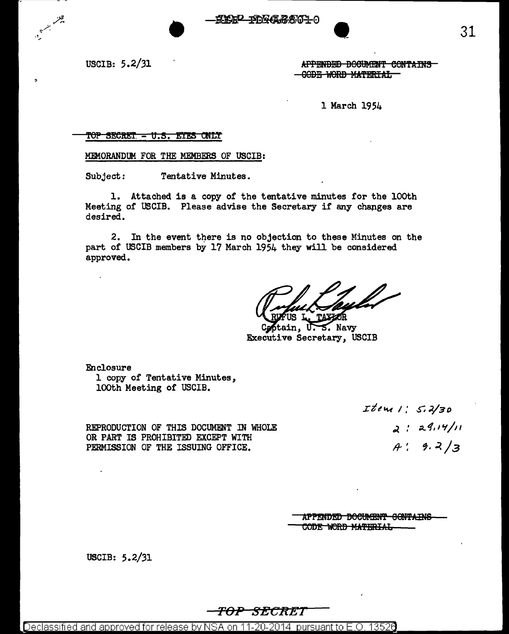**2 TAYARATIO** 

USCIB: 5.2/31

 $\bullet$ APPENDED BOCUMENT CONTAINS GOBE-WORD MATERIAL-

l March 1954

#### $TOP$  SECRET  $-$  U.S. ETES ONLY

MEMORANDUM FOR THE MEMBERS OF USCIB:

•

Subject: Tentative Minutes.

1. Attached is a copy of the tentative minutes for the lOOth Meeting of USCIB. Please advise the Secretary if any chapges are desired.

2. In the event there is no objection to these Minutes on the part of USCIB members by 17 March 1954 they will be considered approved.

 $5.$  Navy tain. Executive Secretary, USCIB

Enclosure l copy of Tentative Minutes, lOOth Meeting of USCIB.

> .zt~"W *I,' S';* .,</3D o°l .' *:J...* tf, I *'t* /11 ft-~ *1.:J./3*

REPRODUCTION OF THIS DOCUMENT IN WHOLE OR PART IS PROHIBITED EXCEPT WITH PERMISSION OF THE ISSUING OFFICE.

> APPENDED DOCUMENT CONTAINS CODE WORD MATERIAL

USCIB: 5.2/31

TOP SECRET

Declassified and approved for release by NSA on 11-20-2014 pursuant to E.O. 13526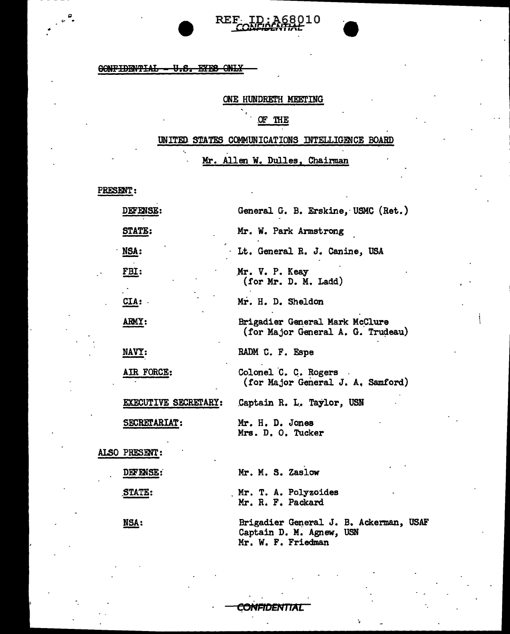### 60NFIDENTIAL - U.S. EYES ONLY

 $\cdot$ 

## ONE HUNDRETH MEETING

REF- ID: A68010

### OF THE

# UNITED STATES COMMUNICATIONS INTELLIGENCE BOARD

# Mr. Allen W. Dulles, Chairman

PRESENT:

 $\mathbf{c}$ 

|  | <b>DEFENSE:</b>      | General G. B. Erskine, USMC (Ret.)                                                       |
|--|----------------------|------------------------------------------------------------------------------------------|
|  | STATE:               | Mr. W. Park Armstrong                                                                    |
|  | NSA:                 | Lt. General R. J. Canine, USA                                                            |
|  | FBI:                 | Mr. V. P. Keay<br>(for Mr. D. M. Ladd)                                                   |
|  | CLA:                 | Mr. H. D. Sheldon                                                                        |
|  | ARMY:                | Brigadier General Mark McClure<br>(for Major General A. G. Trudeau)                      |
|  | NAVY:                | RADM C. F. Espe                                                                          |
|  | AIR FORCE:           | Colonel C. C. Rogers<br>(for Major General J. A. Samford)                                |
|  | EXECUTIVE SECRETARY: | Captain R. L. Taylor, USN                                                                |
|  | SECRETARIAT:         | Mr. H. D. Jones<br>Mrs. D. O. Tucker                                                     |
|  | ALSO PRESENT:        |                                                                                          |
|  | DEFENSE:             | Mr. M. S. Zaslow                                                                         |
|  | STATE:               | Mr. T. A. Polyzoides<br>Mr. R. F. Packard                                                |
|  | NSA:                 | Brigadier General J. B. Ackerman, USAF<br>Captain D. M. Agnew, USN<br>Mr. W. F. Friedman |

C**ONFIDENTIA**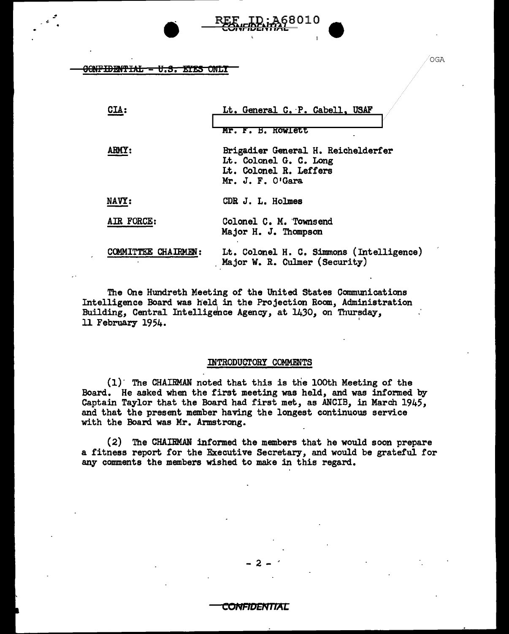### 0<del>0NFIDENTIAL - U.S. EYES O</del>NLY

•

| <b>CIA:</b>              | Lt. General C. P. Cabell, USAF                                                                             |
|--------------------------|------------------------------------------------------------------------------------------------------------|
|                          | Mr. F. B. Rowlett                                                                                          |
| ARMY:                    | Brigadier General H. Reichelderfer<br>Lt. Colonel G. C. Long<br>Lt. Colonel R. Leffers<br>Mr. J. F. O'Gara |
| NAVY:                    | CDR J. L. Holmes                                                                                           |
| AIR FORCE:               | Colonel C. M. Townsend<br>Major H. J. Thompson                                                             |
| <b>MMITTEE CHAIRMEN:</b> | Lt. Colonel H. C. Simmons (Intelligence)<br>Major W. R. Culmer (Security)                                  |

8010

The One Hundreth Meeting of the United states Communications Intelligence Board was held in the Projection Room, Administration Building, Central Intelligence Agency, at 1430, on Thursday, building, central intelligence agency, at 1450, on indis-<br>11 February 1954.

#### INTRODUCTORY COMMENTS

(1)· The CHAIRMAN noted that this is the lOoth Meeting of the Board. He asked when the first meeting was held, and was informed by Captain Taylor that the Board had first met, as ANCIB, in March 1945, and that the present member having the longest continuous service with the Board was Mr. Armstrong.

(2) The CHAIBMAN informed the members that he would soon prepare a fitness report for the Executive Secretary, and would be grateful for any comments the members wished to make in this regard.

OGA

#### CONFIDENTIAL

 $-2 - 7$